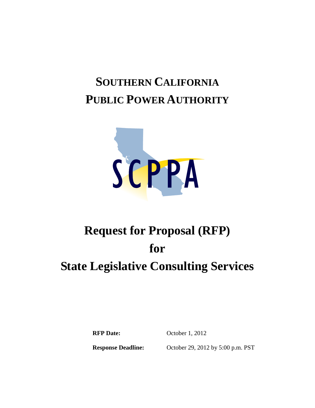## **SOUTHERN CALIFORNIA PUBLIC POWER AUTHORITY**



# **Request for Proposal (RFP) for State Legislative Consulting Services**

**RFP Date:** October 1, 2012

**Response Deadline:** October 29, 2012 by 5:00 p.m. PST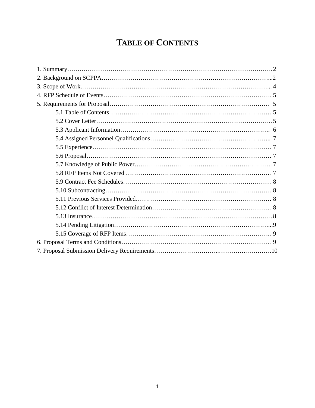## **TABLE OF CONTENTS**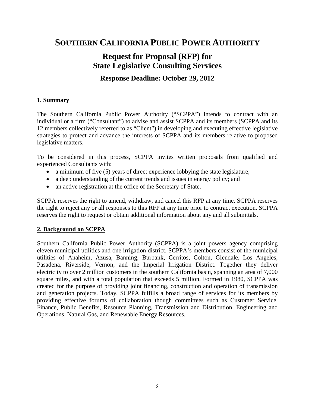### **SOUTHERN CALIFORNIA PUBLIC POWER AUTHORITY**

### **Request for Proposal (RFP) for State Legislative Consulting Services**

#### **Response Deadline: October 29, 2012**

#### **1. Summary**

The Southern California Public Power Authority ("SCPPA") intends to contract with an individual or a firm ("Consultant") to advise and assist SCPPA and its members (SCPPA and its 12 members collectively referred to as "Client") in developing and executing effective legislative strategies to protect and advance the interests of SCPPA and its members relative to proposed legislative matters.

To be considered in this process, SCPPA invites written proposals from qualified and experienced Consultants with:

- a minimum of five (5) years of direct experience lobbying the state legislature;
- a deep understanding of the current trends and issues in energy policy; and
- an active registration at the office of the Secretary of State.

SCPPA reserves the right to amend, withdraw, and cancel this RFP at any time. SCPPA reserves the right to reject any or all responses to this RFP at any time prior to contract execution. SCPPA reserves the right to request or obtain additional information about any and all submittals.

#### **2. Background on SCPPA**

Southern California Public Power Authority (SCPPA) is a joint powers agency comprising eleven municipal utilities and one irrigation district. SCPPA's members consist of the municipal utilities of Anaheim, Azusa, Banning, Burbank, Cerritos, Colton, Glendale, Los Angeles, Pasadena, Riverside, Vernon, and the Imperial Irrigation District. Together they deliver electricity to over 2 million customers in the southern California basin, spanning an area of 7,000 square miles, and with a total population that exceeds 5 million. Formed in 1980, SCPPA was created for the purpose of providing joint financing, construction and operation of transmission and generation projects. Today, SCPPA fulfills a broad range of services for its members by providing effective forums of collaboration though committees such as Customer Service, Finance, Public Benefits, Resource Planning, Transmission and Distribution, Engineering and Operations, Natural Gas, and Renewable Energy Resources.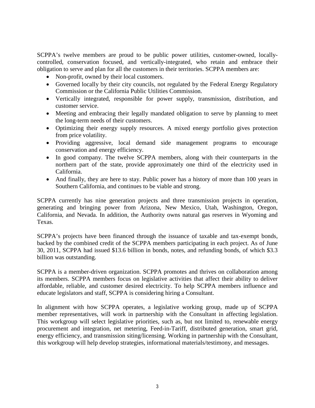SCPPA's twelve members are proud to be public power utilities, customer-owned, locallycontrolled, conservation focused, and vertically-integrated, who retain and embrace their obligation to serve and plan for all the customers in their territories. SCPPA members are:

- Non-profit, owned by their local customers.
- Governed locally by their city councils, not regulated by the Federal Energy Regulatory Commission or the California Public Utilities Commission.
- Vertically integrated, responsible for power supply, transmission, distribution, and customer service.
- Meeting and embracing their legally mandated obligation to serve by planning to meet the long-term needs of their customers.
- Optimizing their energy supply resources. A mixed energy portfolio gives protection from price volatility.
- Providing aggressive, local demand side management programs to encourage conservation and energy efficiency.
- In good company. The twelve SCPPA members, along with their counterparts in the northern part of the state, provide approximately one third of the electricity used in California.
- And finally, they are here to stay. Public power has a history of more than 100 years in Southern California, and continues to be viable and strong.

SCPPA currently has nine generation projects and three transmission projects in operation, generating and bringing power from Arizona, New Mexico, Utah, Washington, Oregon, California, and Nevada. In addition, the Authority owns natural gas reserves in Wyoming and Texas.

SCPPA's projects have been financed through the issuance of taxable and tax-exempt bonds, backed by the combined credit of the SCPPA members participating in each project. As of June 30, 2011, SCPPA had issued \$13.6 billion in bonds, notes, and refunding bonds, of which \$3.3 billion was outstanding.

SCPPA is a member-driven organization. SCPPA promotes and thrives on collaboration among its members. SCPPA members focus on legislative activities that affect their ability to deliver affordable, reliable, and customer desired electricity. To help SCPPA members influence and educate legislators and staff, SCPPA is considering hiring a Consultant.

In alignment with how SCPPA operates, a legislative working group, made up of SCPPA member representatives, will work in partnership with the Consultant in affecting legislation. This workgroup will select legislative priorities, such as, but not limited to, renewable energy procurement and integration, net metering, Feed-in-Tariff, distributed generation, smart grid, energy efficiency, and transmission siting/licensing. Working in partnership with the Consultant, this workgroup will help develop strategies, informational materials/testimony, and messages.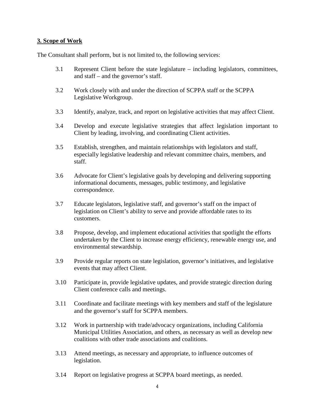#### **3. Scope of Work**

The Consultant shall perform, but is not limited to, the following services:

- 3.1 Represent Client before the state legislature including legislators, committees, and staff – and the governor's staff.
- 3.2 Work closely with and under the direction of SCPPA staff or the SCPPA Legislative Workgroup.
- 3.3 Identify, analyze, track, and report on legislative activities that may affect Client.
- 3.4 Develop and execute legislative strategies that affect legislation important to Client by leading, involving, and coordinating Client activities.
- 3.5 Establish, strengthen, and maintain relationships with legislators and staff, especially legislative leadership and relevant committee chairs, members, and staff.
- 3.6 Advocate for Client's legislative goals by developing and delivering supporting informational documents, messages, public testimony, and legislative correspondence.
- 3.7 Educate legislators, legislative staff, and governor's staff on the impact of legislation on Client's ability to serve and provide affordable rates to its customers.
- 3.8 Propose, develop, and implement educational activities that spotlight the efforts undertaken by the Client to increase energy efficiency, renewable energy use, and environmental stewardship.
- 3.9 Provide regular reports on state legislation, governor's initiatives, and legislative events that may affect Client.
- 3.10 Participate in, provide legislative updates, and provide strategic direction during Client conference calls and meetings.
- 3.11 Coordinate and facilitate meetings with key members and staff of the legislature and the governor's staff for SCPPA members.
- 3.12 Work in partnership with trade/advocacy organizations, including California Municipal Utilities Association, and others, as necessary as well as develop new coalitions with other trade associations and coalitions.
- 3.13 Attend meetings, as necessary and appropriate, to influence outcomes of legislation.
- 3.14 Report on legislative progress at SCPPA board meetings, as needed.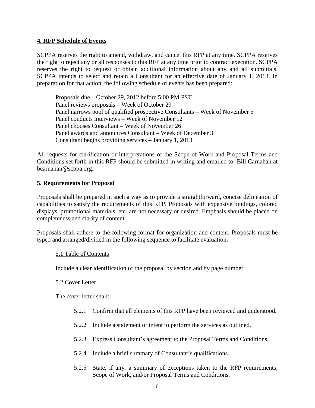#### **4. RFP Schedule of Events**

SCPPA reserves the right to amend, withdraw, and cancel this RFP at any time. SCPPA reserves the right to reject any or all responses to this RFP at any time prior to contract execution. SCPPA reserves the right to request or obtain additional information about any and all submittals. SCPPA intends to select and retain a Consultant for an effective date of January 1, 2013. In preparation for that action, the following schedule of events has been prepared:

Proposals due – October 29, 2012 before 5:00 PM PST Panel reviews proposals – Week of October 29 Panel narrows pool of qualified prospective Consultants – Week of November 5 Panel conducts interviews – Week of November 12 Panel chooses Consultant – Week of November 26 Panel awards and announces Consultant – Week of December 3 Consultant begins providing services – January 1, 2013

All requests for clarification or interpretations of the Scope of Work and Proposal Terms and Conditions set forth in this RFP should be submitted in writing and emailed to: Bill Carnahan at bcarnahan@scppa.org.

#### **5. Requirements for Proposal**

Proposals shall be prepared in such a way as to provide a straightforward, concise delineation of capabilities to satisfy the requirements of this RFP. Proposals with expensive bindings, colored displays, promotional materials, etc. are not necessary or desired. Emphasis should be placed on completeness and clarity of content.

Proposals shall adhere to the following format for organization and content. Proposals must be typed and arranged/divided in the following sequence to facilitate evaluation:

#### 5.1 Table of Contents

Include a clear identification of the proposal by section and by page number.

#### 5.2 Cover Letter

The cover letter shall:

- 5.2.1 Confirm that all elements of this RFP have been reviewed and understood.
- 5.2.2 Include a statement of intent to perform the services as outlined.
- 5.2.3 Express Consultant's agreement to the Proposal Terms and Conditions.
- 5.2.4 Include a brief summary of Consultant's qualifications.
- 5.2.5 State, if any, a summary of exceptions taken to the RFP requirements, Scope of Work, and/or Proposal Terms and Conditions.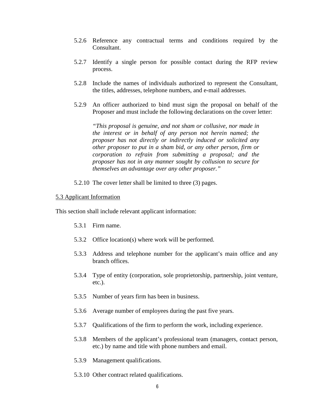- 5.2.6 Reference any contractual terms and conditions required by the Consultant.
- 5.2.7 Identify a single person for possible contact during the RFP review process.
- 5.2.8 Include the names of individuals authorized to represent the Consultant, the titles, addresses, telephone numbers, and e-mail addresses.
- 5.2.9 An officer authorized to bind must sign the proposal on behalf of the Proposer and must include the following declarations on the cover letter:

*"This proposal is genuine, and not sham or collusive, nor made in the interest or in behalf of any person not herein named; the proposer has not directly or indirectly induced or solicited any other proposer to put in a sham bid, or any other person, firm or corporation to refrain from submitting a proposal; and the proposer has not in any manner sought by collusion to secure for themselves an advantage over any other proposer."*

5.2.10 The cover letter shall be limited to three (3) pages.

#### 5.3 Applicant Information

This section shall include relevant applicant information:

- 5.3.1 Firm name.
- 5.3.2 Office location(s) where work will be performed.
- 5.3.3 Address and telephone number for the applicant's main office and any branch offices.
- 5.3.4 Type of entity (corporation, sole proprietorship, partnership, joint venture, etc.).
- 5.3.5 Number of years firm has been in business.
- 5.3.6 Average number of employees during the past five years.
- 5.3.7 Qualifications of the firm to perform the work, including experience.
- 5.3.8 Members of the applicant's professional team (managers, contact person, etc.) by name and title with phone numbers and email.
- 5.3.9 Management qualifications.
- 5.3.10 Other contract related qualifications.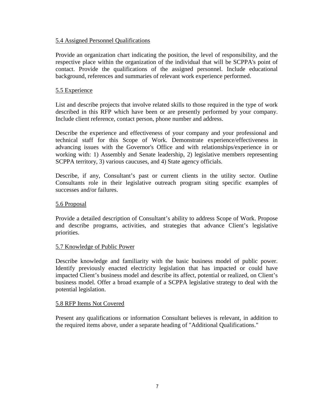#### 5.4 Assigned Personnel Qualifications

Provide an organization chart indicating the position, the level of responsibility, and the respective place within the organization of the individual that will be SCPPA's point of contact. Provide the qualifications of the assigned personnel. Include educational background, references and summaries of relevant work experience performed.

#### 5.5 Experience

List and describe projects that involve related skills to those required in the type of work described in this RFP which have been or are presently performed by your company. Include client reference, contact person, phone number and address.

Describe the experience and effectiveness of your company and your professional and technical staff for this Scope of Work. Demonstrate experience/effectiveness in advancing issues with the Governor's Office and with relationships/experience in or working with: 1) Assembly and Senate leadership, 2) legislative members representing SCPPA territory, 3) various caucuses, and 4) State agency officials.

Describe, if any, Consultant's past or current clients in the utility sector. Outline Consultants role in their legislative outreach program siting specific examples of successes and/or failures.

#### 5.6 Proposal

Provide a detailed description of Consultant's ability to address Scope of Work. Propose and describe programs, activities, and strategies that advance Client's legislative priorities.

#### 5.7 Knowledge of Public Power

Describe knowledge and familiarity with the basic business model of public power. Identify previously enacted electricity legislation that has impacted or could have impacted Client's business model and describe its affect, potential or realized, on Client's business model. Offer a broad example of a SCPPA legislative strategy to deal with the potential legislation.

#### 5.8 RFP Items Not Covered

Present any qualifications or information Consultant believes is relevant, in addition to the required items above, under a separate heading of "Additional Qualifications."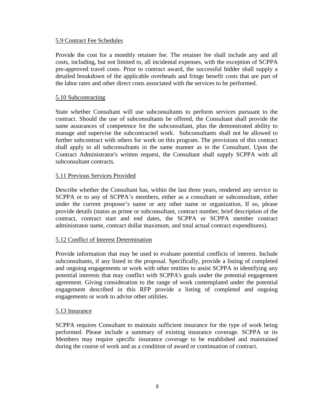#### 5.9 Contract Fee Schedules

Provide the cost for a monthly retainer fee. The retainer fee shall include any and all costs, including, but not limited to, all incidental expenses, with the exception of SCPPA pre-approved travel costs. Prior to contract award, the successful bidder shall supply a detailed breakdown of the applicable overheads and fringe benefit costs that are part of the labor rates and other direct costs associated with the services to be performed.

#### 5.10 Subcontracting

State whether Consultant will use subconsultants to perform services pursuant to the contract. Should the use of subconsultants be offered, the Consultant shall provide the same assurances of competence for the subconsultant, plus the demonstrated ability to manage and supervise the subcontracted work. Subconsultants shall not be allowed to further subcontract with others for work on this program. The provisions of this contract shall apply to all subconsultants in the same manner as to the Consultant. Upon the Contract Administrator's written request, the Consultant shall supply SCPPA with all subconsultant contracts.

#### 5.11 Previous Services Provided

Describe whether the Consultant has, within the last three years, rendered any service to SCPPA or to any of SCPPA's members, either as a consultant or subconsultant, either under the current proposer's name or any other name or organization, If so, please provide details (status as prime or subconsultant, contract number, brief description of the contract, contract start and end dates, the SCPPA or SCPPA member contract administrator name, contract dollar maximum, and total actual contract expenditures).

#### 5.12 Conflict of Interest Determination

Provide information that may be used to evaluate potential conflicts of interest. Include subconsultants, if any listed in the proposal. Specifically, provide a listing of completed and ongoing engagements or work with other entities to assist SCPPA in identifying any potential interests that may conflict with SCPPA's goals under the potential engagement agreement. Giving consideration to the range of work contemplated under the potential engagement described in this RFP provide a listing of completed and ongoing engagements or work to advise other utilities.

#### 5.13 Insurance

SCPPA requires Consultant to maintain sufficient insurance for the type of work being performed. Please include a summary of existing insurance coverage. SCPPA or its Members may require specific insurance coverage to be established and maintained during the course of work and as a condition of award or continuation of contract.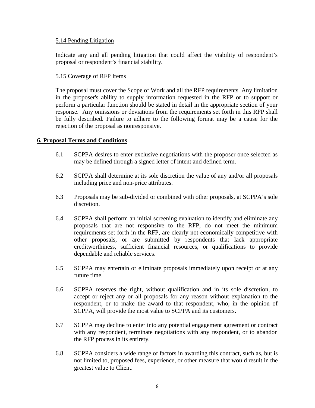#### 5.14 Pending Litigation

Indicate any and all pending litigation that could affect the viability of respondent's proposal or respondent's financial stability.

#### 5.15 Coverage of RFP Items

The proposal must cover the Scope of Work and all the RFP requirements. Any limitation in the proposer's ability to supply information requested in the RFP or to support or perform a particular function should be stated in detail in the appropriate section of your response. Any omissions or deviations from the requirements set forth in this RFP shall be fully described. Failure to adhere to the following format may be a cause for the rejection of the proposal as nonresponsive.

#### **6. Proposal Terms and Conditions**

- 6.1 SCPPA desires to enter exclusive negotiations with the proposer once selected as may be defined through a signed letter of intent and defined term.
- 6.2 SCPPA shall determine at its sole discretion the value of any and/or all proposals including price and non-price attributes.
- 6.3 Proposals may be sub-divided or combined with other proposals, at SCPPA's sole discretion.
- 6.4 SCPPA shall perform an initial screening evaluation to identify and eliminate any proposals that are not responsive to the RFP, do not meet the minimum requirements set forth in the RFP, are clearly not economically competitive with other proposals, or are submitted by respondents that lack appropriate creditworthiness, sufficient financial resources, or qualifications to provide dependable and reliable services.
- 6.5 SCPPA may entertain or eliminate proposals immediately upon receipt or at any future time.
- 6.6 SCPPA reserves the right, without qualification and in its sole discretion, to accept or reject any or all proposals for any reason without explanation to the respondent, or to make the award to that respondent, who, in the opinion of SCPPA, will provide the most value to SCPPA and its customers.
- 6.7 SCPPA may decline to enter into any potential engagement agreement or contract with any respondent, terminate negotiations with any respondent, or to abandon the RFP process in its entirety.
- 6.8 SCPPA considers a wide range of factors in awarding this contract, such as, but is not limited to, proposed fees, experience, or other measure that would result in the greatest value to Client.